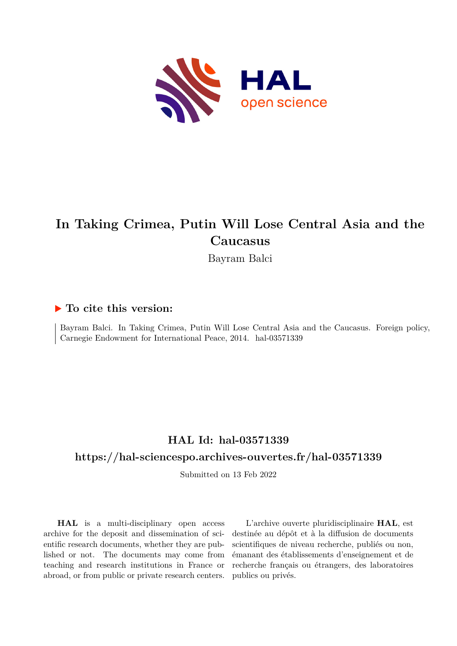

## **In Taking Crimea, Putin Will Lose Central Asia and the Caucasus**

Bayram Balci

#### **To cite this version:**

Bayram Balci. In Taking Crimea, Putin Will Lose Central Asia and the Caucasus. Foreign policy, Carnegie Endowment for International Peace, 2014. hal-03571339

## **HAL Id: hal-03571339**

## **<https://hal-sciencespo.archives-ouvertes.fr/hal-03571339>**

Submitted on 13 Feb 2022

**HAL** is a multi-disciplinary open access archive for the deposit and dissemination of scientific research documents, whether they are published or not. The documents may come from teaching and research institutions in France or abroad, or from public or private research centers.

L'archive ouverte pluridisciplinaire **HAL**, est destinée au dépôt et à la diffusion de documents scientifiques de niveau recherche, publiés ou non, émanant des établissements d'enseignement et de recherche français ou étrangers, des laboratoires publics ou privés.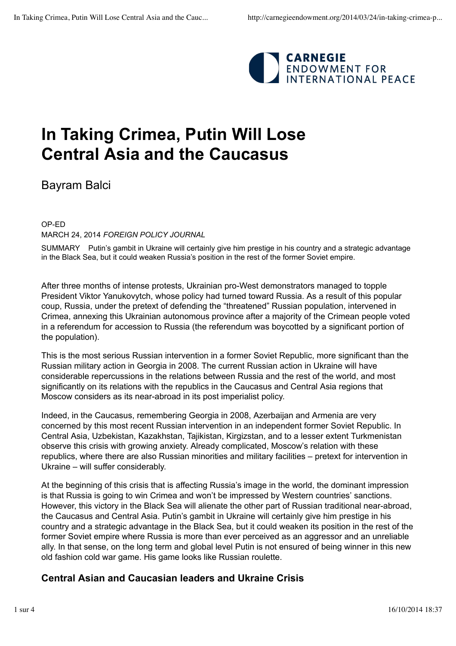

# **In Taking Crimea, Putin Will Lose Central Asia and the Caucasus**

Bayram Balci

OP-ED MARCH 24, 2014 *FOREIGN POLICY JOURNAL*

SUMMARY Putin's gambit in Ukraine will certainly give him prestige in his country and a strategic advantage in the Black Sea, but it could weaken Russia's position in the rest of the former Soviet empire.

After three months of intense protests, Ukrainian pro-West demonstrators managed to topple President Viktor Yanukovytch, whose policy had turned toward Russia. As a result of this popular coup, Russia, under the pretext of defending the "threatened" Russian population, intervened in Crimea, annexing this Ukrainian autonomous province after a majority of the Crimean people voted in a referendum for accession to Russia (the referendum was boycotted by a significant portion of the population).

This is the most serious Russian intervention in a former Soviet Republic, more significant than the Russian military action in Georgia in 2008. The current Russian action in Ukraine will have considerable repercussions in the relations between Russia and the rest of the world, and most significantly on its relations with the republics in the Caucasus and Central Asia regions that Moscow considers as its near-abroad in its post imperialist policy.

Indeed, in the Caucasus, remembering Georgia in 2008, Azerbaijan and Armenia are very concerned by this most recent Russian intervention in an independent former Soviet Republic. In Central Asia, Uzbekistan, Kazakhstan, Tajikistan, Kirgizstan, and to a lesser extent Turkmenistan observe this crisis with growing anxiety. Already complicated, Moscow's relation with these republics, where there are also Russian minorities and military facilities – pretext for intervention in Ukraine – will suffer considerably.

At the beginning of this crisis that is affecting Russia's image in the world, the dominant impression is that Russia is going to win Crimea and won't be impressed by Western countries' sanctions. However, this victory in the Black Sea will alienate the other part of Russian traditional near-abroad, the Caucasus and Central Asia. Putin's gambit in Ukraine will certainly give him prestige in his country and a strategic advantage in the Black Sea, but it could weaken its position in the rest of the former Soviet empire where Russia is more than ever perceived as an aggressor and an unreliable ally. In that sense, on the long term and global level Putin is not ensured of being winner in this new old fashion cold war game. His game looks like Russian roulette.

## **Central Asian and Caucasian leaders and Ukraine Crisis**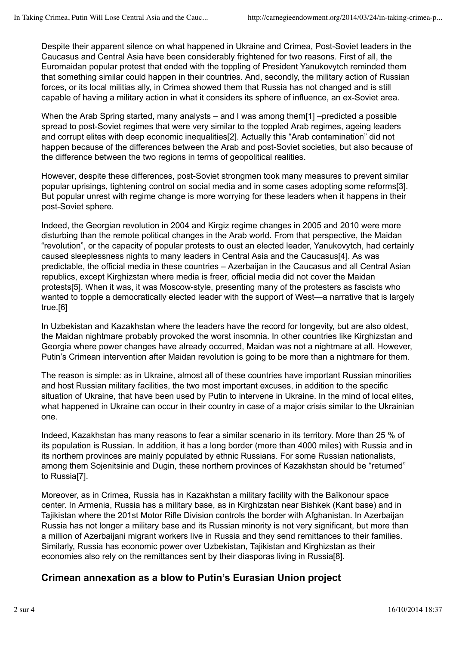Despite their apparent silence on what happened in Ukraine and Crimea, Post-Soviet leaders in the Caucasus and Central Asia have been considerably frightened for two reasons. First of all, the Euromaidan popular protest that ended with the toppling of President Yanukovytch reminded them that something similar could happen in their countries. And, secondly, the military action of Russian forces, or its local militias ally, in Crimea showed them that Russia has not changed and is still capable of having a military action in what it considers its sphere of influence, an ex-Soviet area.

When the Arab Spring started, many analysts – and I was among them[1] –predicted a possible spread to post-Soviet regimes that were very similar to the toppled Arab regimes, ageing leaders and corrupt elites with deep economic inequalities[2]. Actually this "Arab contamination" did not happen because of the differences between the Arab and post-Soviet societies, but also because of the difference between the two regions in terms of geopolitical realities.

However, despite these differences, post-Soviet strongmen took many measures to prevent similar popular uprisings, tightening control on social media and in some cases adopting some reforms[3]. But popular unrest with regime change is more worrying for these leaders when it happens in their post-Soviet sphere.

Indeed, the Georgian revolution in 2004 and Kirgiz regime changes in 2005 and 2010 were more disturbing than the remote political changes in the Arab world. From that perspective, the Maidan "revolution", or the capacity of popular protests to oust an elected leader, Yanukovytch, had certainly caused sleeplessness nights to many leaders in Central Asia and the Caucasus[4]. As was predictable, the official media in these countries – Azerbaijan in the Caucasus and all Central Asian republics, except Kirghizstan where media is freer, official media did not cover the Maidan protests[5]. When it was, it was Moscow-style, presenting many of the protesters as fascists who wanted to topple a democratically elected leader with the support of West—a narrative that is largely true.[6]

In Uzbekistan and Kazakhstan where the leaders have the record for longevity, but are also oldest, the Maidan nightmare probably provoked the worst insomnia. In other countries like Kirghizstan and Georgia where power changes have already occurred, Maidan was not a nightmare at all. However, Putin's Crimean intervention after Maidan revolution is going to be more than a nightmare for them.

The reason is simple: as in Ukraine, almost all of these countries have important Russian minorities and host Russian military facilities, the two most important excuses, in addition to the specific situation of Ukraine, that have been used by Putin to intervene in Ukraine. In the mind of local elites, what happened in Ukraine can occur in their country in case of a major crisis similar to the Ukrainian one.

Indeed, Kazakhstan has many reasons to fear a similar scenario in its territory. More than 25 % of its population is Russian. In addition, it has a long border (more than 4000 miles) with Russia and in its northern provinces are mainly populated by ethnic Russians. For some Russian nationalists, among them Sojenitsinie and Dugin, these northern provinces of Kazakhstan should be "returned" to Russia[7].

Moreover, as in Crimea, Russia has in Kazakhstan a military facility with the Baïkonour space center. In Armenia, Russia has a military base, as in Kirghizstan near Bishkek (Kant base) and in Tajikistan where the 201st Motor Rifle Division controls the border with Afghanistan. In Azerbaijan Russia has not longer a military base and its Russian minority is not very significant, but more than a million of Azerbaijani migrant workers live in Russia and they send remittances to their families. Similarly, Russia has economic power over Uzbekistan, Tajikistan and Kirghizstan as their economies also rely on the remittances sent by their diasporas living in Russia[8].

## **Crimean annexation as a blow to Putin's Eurasian Union project**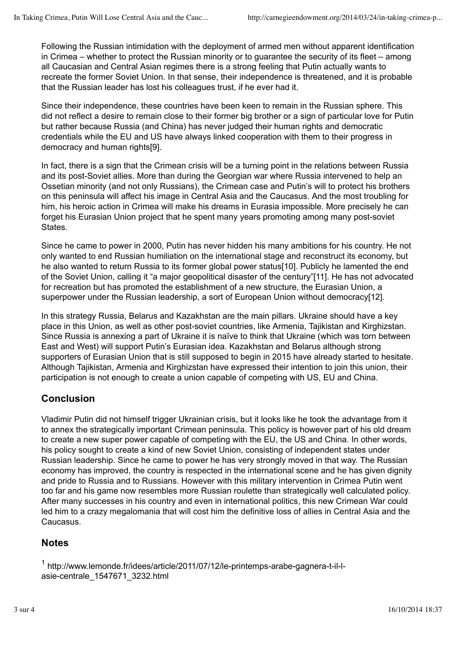Following the Russian intimidation with the deployment of armed men without apparent identification in Crimea – whether to protect the Russian minority or to guarantee the security of its fleet – among all Caucasian and Central Asian regimes there is a strong feeling that Putin actually wants to recreate the former Soviet Union. In that sense, their independence is threatened, and it is probable that the Russian leader has lost his colleagues trust, if he ever had it.

Since their independence, these countries have been keen to remain in the Russian sphere. This did not reflect a desire to remain close to their former big brother or a sign of particular love for Putin but rather because Russia (and China) has never judged their human rights and democratic credentials while the EU and US have always linked cooperation with them to their progress in democracy and human rights[9].

In fact, there is a sign that the Crimean crisis will be a turning point in the relations between Russia and its post-Soviet allies. More than during the Georgian war where Russia intervened to help an Ossetian minority (and not only Russians), the Crimean case and Putin's will to protect his brothers on this peninsula will affect his image in Central Asia and the Caucasus. And the most troubling for him, his heroic action in Crimea will make his dreams in Eurasia impossible. More precisely he can forget his Eurasian Union project that he spent many years promoting among many post-soviet States.

Since he came to power in 2000, Putin has never hidden his many ambitions for his country. He not only wanted to end Russian humiliation on the international stage and reconstruct its economy, but he also wanted to return Russia to its former global power status[10]. Publicly he lamented the end of the Soviet Union, calling it "a major geopolitical disaster of the century"[11]. He has not advocated for recreation but has promoted the establishment of a new structure, the Eurasian Union, a superpower under the Russian leadership, a sort of European Union without democracy[12].

In this strategy Russia, Belarus and Kazakhstan are the main pillars. Ukraine should have a key place in this Union, as well as other post-soviet countries, like Armenia, Tajikistan and Kirghizstan. Since Russia is annexing a part of Ukraine it is naïve to think that Ukraine (which was torn between East and West) will support Putin's Eurasian idea. Kazakhstan and Belarus although strong supporters of Eurasian Union that is still supposed to begin in 2015 have already started to hesitate. Although Tajikistan, Armenia and Kirghizstan have expressed their intention to join this union, their participation is not enough to create a union capable of competing with US, EU and China.

## **Conclusion**

Vladimir Putin did not himself trigger Ukrainian crisis, but it looks like he took the advantage from it to annex the strategically important Crimean peninsula. This policy is however part of his old dream to create a new super power capable of competing with the EU, the US and China. In other words, his policy sought to create a kind of new Soviet Union, consisting of independent states under Russian leadership. Since he came to power he has very strongly moved in that way. The Russian economy has improved, the country is respected in the international scene and he has given dignity and pride to Russia and to Russians. However with this military intervention in Crimea Putin went too far and his game now resembles more Russian roulette than strategically well calculated policy. After many successes in his country and even in international politics, this new Crimean War could led him to a crazy megalomania that will cost him the definitive loss of allies in Central Asia and the Caucasus.

## **Notes**

<sup>1</sup> http://www.lemonde.fr/idees/article/2011/07/12/le-printemps-arabe-gagnera-t-il-lasie-centrale\_1547671\_3232.html